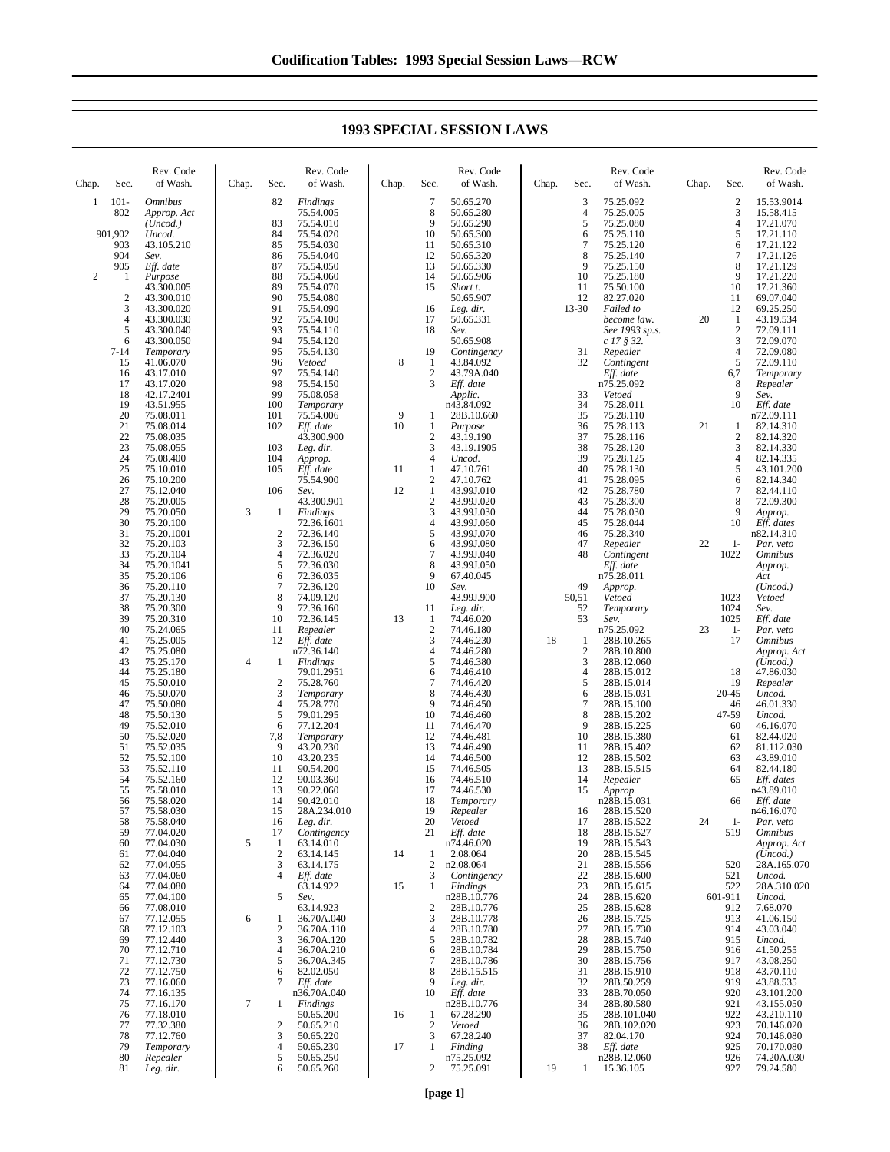| Chap.          | Sec.                | Rev. Code<br>of Wash.         | Chap. | Sec.                | Rev. Code<br>of Wash.        | Chap.   | Sec.                             | Rev. Code<br>of Wash.          | Chap. | Sec.                | Rev. Code<br>of Wash.         | Chap. | Sec.                           | Rev. Code<br>of Wash.              |
|----------------|---------------------|-------------------------------|-------|---------------------|------------------------------|---------|----------------------------------|--------------------------------|-------|---------------------|-------------------------------|-------|--------------------------------|------------------------------------|
| 1              | $101 -$<br>802      | <b>Omnibus</b><br>Approp. Act |       | 82                  | <b>Findings</b><br>75.54.005 |         | 7<br>8                           | 50.65.270<br>50.65.280         |       | 3<br>$\overline{4}$ | 75.25.092<br>75.25.005        |       | $\overline{\mathbf{c}}$<br>3   | 15.53.9014<br>15.58.415            |
|                |                     | (Uncod.)                      |       | 83                  | 75.54.010                    |         | 9                                | 50.65.290                      |       | 5                   | 75.25.080                     |       | $\overline{4}$                 | 17.21.070                          |
|                | 901,902<br>903      | Uncod.<br>43.105.210          |       | 84<br>85            | 75.54.020<br>75.54.030       |         | 10<br>11                         | 50.65.300<br>50.65.310         |       | 6<br>$\overline{7}$ | 75.25.110<br>75.25.120        |       | 5<br>6                         | 17.21.110<br>17.21.122             |
|                | 904                 | Sev.                          |       | 86                  | 75.54.040                    |         | 12                               | 50.65.320                      |       | 8                   | 75.25.140                     |       | 7                              | 17.21.126                          |
|                | 905                 | Eff. date                     |       | 87                  | 75.54.050                    |         | 13                               | 50.65.330                      |       | 9                   | 75.25.150                     |       | 8                              | 17.21.129                          |
| $\overline{2}$ | 1                   | Purpose<br>43.300.005         |       | 88<br>89            | 75.54.060<br>75.54.070       |         | 14<br>15                         | 50.65.906<br>Short t.          |       | 10<br>11            | 75.25.180<br>75.50.100        |       | 9<br>10                        | 17.21.220<br>17.21.360             |
|                | $\boldsymbol{2}$    | 43.300.010                    |       | 90                  | 75.54.080                    |         |                                  | 50.65.907                      |       | 12                  | 82.27.020                     |       | 11                             | 69.07.040                          |
|                | 3                   | 43.300.020                    |       | 91                  | 75.54.090                    |         | 16                               | Leg. dir.                      |       | $13 - 30$           | Failed to                     |       | 12                             | 69.25.250                          |
|                | $\overline{4}$<br>5 | 43.300.030<br>43.300.040      |       | 92<br>93            | 75.54.100<br>75.54.110       |         | 17<br>18                         | 50.65.331<br>Sev.              |       |                     | become law.<br>See 1993 sp.s. | 20    | $\mathbf{1}$<br>$\overline{c}$ | 43.19.534<br>72.09.111             |
|                | 6                   | 43.300.050                    |       | 94                  | 75.54.120                    |         |                                  | 50.65.908                      |       |                     | $c$ 17 $\S$ 32.               |       | 3                              | 72.09.070                          |
|                | $7 - 14$            | Temporary                     |       | 95                  | 75.54.130                    |         | 19                               | Contingency                    |       | 31                  | Repealer                      |       | $\overline{4}$                 | 72.09.080                          |
|                | 15<br>16            | 41.06.070<br>43.17.010        |       | 96<br>97            | Vetoed<br>75.54.140          | 8       | $\mathbf{1}$<br>$\boldsymbol{2}$ | 43.84.092<br>43.79A.040        |       | 32                  | Contingent<br>Eff. date       |       | 5<br>6,7                       | 72.09.110                          |
|                | 17                  | 43.17.020                     |       | 98                  | 75.54.150                    |         | 3                                | Eff. date                      |       |                     | n75.25.092                    |       | 8                              | Temporary<br>Repealer              |
|                | 18                  | 42.17.2401                    |       | 99                  | 75.08.058                    |         |                                  | Applic.                        |       | 33                  | Vetoed                        |       | 9                              | Sev.                               |
|                | 19                  | 43.51.955                     |       | 100                 | Temporary                    |         |                                  | n43.84.092                     |       | 34                  | 75.28.011                     |       | 10                             | Eff. date                          |
|                | 20<br>21            | 75.08.011<br>75.08.014        |       | 101<br>102          | 75.54.006<br>Eff. date       | 9<br>10 | 1<br>1                           | 28B.10.660<br>Purpose          |       | 35<br>36            | 75.28.110<br>75.28.113        | 21    | 1                              | n72.09.111<br>82.14.310            |
|                | 22                  | 75.08.035                     |       |                     | 43.300.900                   |         | $\mathbf{2}$                     | 43.19.190                      |       | 37                  | 75.28.116                     |       | $\overline{\mathbf{c}}$        | 82.14.320                          |
|                | 23                  | 75.08.055                     |       | 103                 | Leg. dir.                    |         | 3                                | 43.19.1905                     |       | 38                  | 75.28.120                     |       | 3                              | 82.14.330                          |
|                | 24<br>25            | 75.08.400<br>75.10.010        |       | 104<br>105          | Approp.<br>Eff. date         | 11      | 4<br>1                           | Uncod.<br>47.10.761            |       | 39<br>40            | 75.28.125<br>75.28.130        |       | $\overline{4}$<br>5            | 82.14.335<br>43.101.200            |
|                | 26                  | 75.10.200                     |       |                     | 75.54.900                    |         | $\boldsymbol{2}$                 | 47.10.762                      |       | 41                  | 75.28.095                     |       | 6                              | 82.14.340                          |
|                | 27                  | 75.12.040                     |       | 106                 | Sev.                         | 12      | $\mathbf{1}$                     | 43.99J.010                     |       | 42                  | 75.28.780                     |       | 7                              | 82.44.110                          |
|                | 28<br>29            | 75.20.005<br>75.20.050        | 3     | 1                   | 43.300.901<br>Findings       |         | 2<br>3                           | 43.99J.020<br>43.99J.030       |       | 43<br>44            | 75.28.300<br>75.28.030        |       | 8<br>9                         | 72.09.300<br>Approp.               |
|                | 30                  | 75.20.100                     |       |                     | 72.36.1601                   |         | 4                                | 43.99J.060                     |       | 45                  | 75.28.044                     |       | 10                             | Eff. dates                         |
|                | 31                  | 75.20.1001                    |       | $\mathfrak{2}$      | 72.36.140                    |         | 5                                | 43.99J.070                     |       | 46                  | 75.28.340                     |       |                                | n82.14.310                         |
|                | 32<br>33            | 75.20.103<br>75.20.104        |       | 3<br>4              | 72.36.150<br>72.36.020       |         | 6<br>7                           | 43.99J.080<br>43.99J.040       |       | 47<br>48            | Repealer<br>Contingent        | 22    | $1-$<br>1022                   | Par. veto<br><i><b>Omnibus</b></i> |
|                | 34                  | 75.20.1041                    |       | 5                   | 72.36.030                    |         | 8                                | 43.99J.050                     |       |                     | Eff. date                     |       |                                | Approp.                            |
|                | 35                  | 75.20.106                     |       | 6                   | 72.36.035                    |         | 9                                | 67.40.045                      |       |                     | n75.28.011                    |       |                                | Act                                |
|                | 36<br>37            | 75.20.110<br>75.20.130        |       | 7<br>8              | 72.36.120<br>74.09.120       |         | 10                               | Sev.<br>43.99J.900             |       | 49<br>50,51         | Approp.<br>Vetoed             |       | 1023                           | (Uncod.)<br>Vetoed                 |
|                | 38                  | 75.20.300                     |       | 9                   | 72.36.160                    |         | 11                               | Leg. dir.                      |       | 52                  | Temporary                     |       | 1024                           | Sev.                               |
|                | 39                  | 75.20.310                     |       | 10                  | 72.36.145                    | 13      | 1                                | 74.46.020                      |       | 53                  | Sev.                          |       | 1025                           | Eff. date                          |
|                | 40<br>41            | 75.24.065                     |       | 11<br>12            | Repealer                     |         | $\mathbf{2}$<br>3                | 74.46.180                      | 18    |                     | n75.25.092                    | 23    | $1 -$<br>17                    | Par. veto                          |
|                | 42                  | 75.25.005<br>75.25.080        |       |                     | Eff. date<br>n72.36.140      |         | 4                                | 74.46.230<br>74.46.280         |       | 1<br>$\overline{c}$ | 28B.10.265<br>28B.10.800      |       |                                | <b>Omnibus</b><br>Approp. Act      |
|                | 43                  | 75.25.170                     | 4     | 1                   | Findings                     |         | 5                                | 74.46.380                      |       | 3                   | 28B.12.060                    |       |                                | (Uncod.)                           |
|                | 44<br>45            | 75.25.180<br>75.50.010        |       | $\overline{c}$      | 79.01.2951<br>75.28.760      |         | 6<br>7                           | 74.46.410<br>74.46.420         |       | $\overline{4}$<br>5 | 28B.15.012<br>28B.15.014      |       | 18<br>19                       | 47.86.030                          |
|                | 46                  | 75.50.070                     |       | 3                   | Temporary                    |         | 8                                | 74.46.430                      |       | 6                   | 28B.15.031                    |       | 20-45                          | Repealer<br>Uncod.                 |
|                | 47                  | 75.50.080                     |       | $\overline{4}$      | 75.28.770                    |         | 9                                | 74.46.450                      |       | $\overline{7}$      | 28B.15.100                    |       | 46                             | 46.01.330                          |
|                | 48<br>49            | 75.50.130                     |       | 5<br>6              | 79.01.295<br>77.12.204       |         | 10<br>11                         | 74.46.460<br>74.46.470         |       | 8<br>9              | 28B.15.202<br>28B.15.225      |       | 47-59<br>60                    | Uncod.                             |
|                | 50                  | 75.52.010<br>75.52.020        |       | 7,8                 | Temporary                    |         | 12                               | 74.46.481                      |       | 10                  | 28B.15.380                    |       | 61                             | 46.16.070<br>82.44.020             |
|                | 51                  | 75.52.035                     |       | 9                   | 43.20.230                    |         | 13                               | 74.46.490                      |       | 11                  | 28B.15.402                    |       | 62                             | 81.112.030                         |
|                | 52<br>53            | 75.52.100<br>75.52.110        |       | 10<br>11            | 43.20.235<br>90.54.200       |         | 14<br>15                         | 74.46.500<br>74.46.505         |       | 12<br>13            | 28B.15.502<br>28B.15.515      |       | 63<br>64                       | 43.89.010<br>82.44.180             |
|                | 54                  | 75.52.160                     |       | 12                  | 90.03.360                    |         | 16                               | 74.46.510                      |       | 14                  | Repealer                      |       | 65                             | Eff. dates                         |
|                | 55                  | 75.58.010                     |       | 13                  | 90.22.060                    |         | 17                               | 74.46.530                      |       | 15                  | Approp.                       |       |                                | n43.89.010                         |
|                | 56<br>57            | 75.58.020<br>75.58.030        |       | 14<br>15            | 90.42.010<br>28A.234.010     |         | 18<br>19                         | Temporary<br>Repealer          |       | 16                  | n28B.15.031<br>28B.15.520     |       | 66                             | Eff. date<br>n46.16.070            |
|                | 58                  | 75.58.040                     |       | 16                  | Leg. dir.                    |         | 20                               | Vetoed                         |       | 17                  | 28B.15.522                    | 24    | $1-$                           | Par. veto                          |
|                | 59                  | 77.04.020                     |       | 17                  | Contingency                  |         | 21                               | Eff. date                      |       | 18                  | 28B.15.527                    |       | 519                            | <b>Omnibus</b>                     |
|                | 60<br>61            | 77.04.030<br>77.04.040        | 5     | 1<br>$\overline{c}$ | 63.14.010<br>63.14.145       | 14      | 1                                | n74.46.020<br>2.08.064         |       | 19<br>20            | 28B.15.543<br>28B.15.545      |       |                                | Approp. Act<br>(Uncod.)            |
|                | 62                  | 77.04.055                     |       | 3                   | 63.14.175                    |         | $\overline{c}$                   | n2.08.064                      |       | 21                  | 28B.15.556                    |       | 520                            | 28A.165.070                        |
|                | 63                  | 77.04.060                     |       | $\overline{4}$      | Eff. date                    |         | 3                                | Contingency                    |       | 22                  | 28B.15.600                    |       | 521                            | Uncod.                             |
|                | 64<br>65            | 77.04.080<br>77.04.100        |       | 5                   | 63.14.922<br>Sev.            | 15      | 1                                | <b>Findings</b><br>n28B.10.776 |       | 23<br>24            | 28B.15.615<br>28B.15.620      |       | 522<br>601-911                 | 28A.310.020<br>Uncod.              |
|                | 66                  | 77.08.010                     |       |                     | 63.14.923                    |         | 2                                | 28B.10.776                     |       | 25                  | 28B.15.628                    |       | 912                            | 7.68.070                           |
|                | 67                  | 77.12.055                     | 6     | 1                   | 36.70A.040                   |         | 3                                | 28B.10.778                     |       | 26                  | 28B.15.725                    |       | 913                            | 41.06.150                          |
|                | 68                  | 77.12.103<br>77.12.440        |       | 2<br>3              | 36.70A.110<br>36.70A.120     |         | 4<br>5                           | 28B.10.780<br>28B.10.782       |       | 27                  | 28B.15.730<br>28B.15.740      |       | 914<br>915                     | 43.03.040                          |
|                | 69<br>70            | 77.12.710                     |       | 4                   | 36.70A.210                   |         | 6                                | 28B.10.784                     |       | 28<br>29            | 28B.15.750                    |       | 916                            | Uncod.<br>41.50.255                |
|                | 71                  | 77.12.730                     |       | 5                   | 36.70A.345                   |         | 7                                | 28B.10.786                     |       | 30                  | 28B.15.756                    |       | 917                            | 43.08.250                          |
|                | 72<br>73            | 77.12.750<br>77.16.060        |       | 6<br>7              | 82.02.050                    |         | 8<br>9                           | 28B.15.515                     |       | 31<br>32            | 28B.15.910<br>28B.50.259      |       | 918<br>919                     | 43.70.110                          |
|                | 74                  | 77.16.135                     |       |                     | Eff. date<br>n36.70A.040     |         | 10                               | Leg. dir.<br>Eff. date         |       | 33                  | 28B.70.050                    |       | 920                            | 43.88.535<br>43.101.200            |
|                | 75                  | 77.16.170                     | 7     | 1                   | Findings                     |         |                                  | n28B.10.776                    |       | 34                  | 28B.80.580                    |       | 921                            | 43.155.050                         |
|                | 76                  | 77.18.010                     |       |                     | 50.65.200                    | 16      | 1                                | 67.28.290                      |       | 35                  | 28B.101.040                   |       | 922                            | 43.210.110                         |
|                | 77<br>78            | 77.32.380<br>77.12.760        |       | $\overline{c}$<br>3 | 50.65.210<br>50.65.220       |         | 2<br>3                           | Vetoed<br>67.28.240            |       | 36<br>37            | 28B.102.020<br>82.04.170      |       | 923<br>924                     | 70.146.020<br>70.146.080           |
|                | 79                  | Temporary                     |       | 4                   | 50.65.230                    | 17      | 1                                | Finding                        |       | 38                  | Eff. date                     |       | 925                            | 70.170.080                         |
|                | 80<br>81            | Repealer                      |       | 5<br>6              | 50.65.250<br>50.65.260       |         | 2                                | n75.25.092<br>75.25.091        | 19    | -1                  | n28B.12.060                   |       | 926<br>927                     | 74.20A.030<br>79.24.580            |
|                |                     | Leg. dir.                     |       |                     |                              |         |                                  |                                |       |                     | 15.36.105                     |       |                                |                                    |

## **1993 SPECIAL SESSION LAWS**